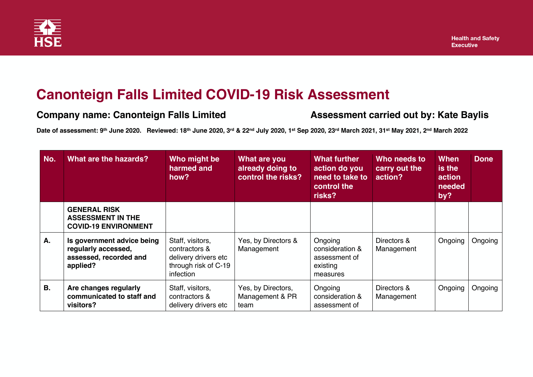

## **Canonteign Falls Limited COVID-19 Risk Assessment**

## **Company name: Canonteign Falls Limited Company Assessment carried out by: Kate Baylis**

**Date of assessment: 9th June 2020. Reviewed: 18th June 2020, 3rd & 22nd July 2020, 1st Sep 2020, 23rd March 2021, 31st May 2021, 2nd March 2022**

| No.       | What are the hazards?                                                                   | Who might be<br>harmed and<br>how?                                                             | What are you<br>already doing to<br>control the risks? | What further<br>action do you<br>need to take to<br>control the<br>risks? | Who needs to<br>carry out the<br>action? | When<br>is the<br>action<br>needed<br>by? | <b>Done</b> |
|-----------|-----------------------------------------------------------------------------------------|------------------------------------------------------------------------------------------------|--------------------------------------------------------|---------------------------------------------------------------------------|------------------------------------------|-------------------------------------------|-------------|
|           | <b>GENERAL RISK</b><br><b>ASSESSMENT IN THE</b><br><b>COVID-19 ENVIRONMENT</b>          |                                                                                                |                                                        |                                                                           |                                          |                                           |             |
| Α.        | Is government advice being<br>regularly accessed,<br>assessed, recorded and<br>applied? | Staff, visitors,<br>contractors &<br>delivery drivers etc<br>through risk of C-19<br>infection | Yes, by Directors &<br>Management                      | Ongoing<br>consideration &<br>assessment of<br>existing<br>measures       | Directors &<br>Management                | Ongoing                                   | Ongoing     |
| <b>B.</b> | Are changes regularly<br>communicated to staff and<br>visitors?                         | Staff, visitors,<br>contractors &<br>delivery drivers etc                                      | Yes, by Directors,<br>Management & PR<br>team          | Ongoing<br>consideration &<br>assessment of                               | Directors &<br>Management                | Ongoing                                   | Ongoing     |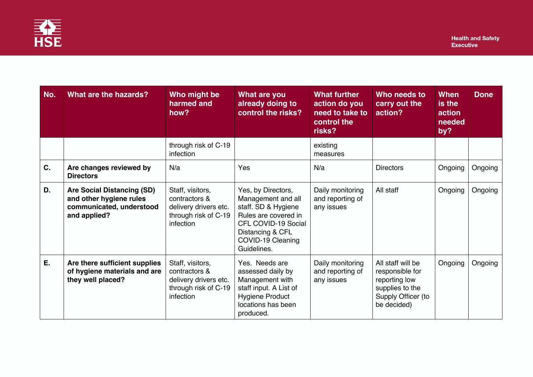

| No. | What are the hazards?                                                                             | Who might be<br>harmed and<br>how?                                                              | What are you<br>already doing to<br>control the risks?                                                                                                                 | <b>What further</b><br>action do you<br>need to take to<br>control the<br>risks? | Who needs to<br>carry out the<br>action?                                                                      | When<br>is the<br>action<br>needed<br>by? | <b>Done</b> |
|-----|---------------------------------------------------------------------------------------------------|-------------------------------------------------------------------------------------------------|------------------------------------------------------------------------------------------------------------------------------------------------------------------------|----------------------------------------------------------------------------------|---------------------------------------------------------------------------------------------------------------|-------------------------------------------|-------------|
|     |                                                                                                   | through risk of C-19<br>infection                                                               |                                                                                                                                                                        | existing<br>measures                                                             |                                                                                                               |                                           |             |
| C.  | Are changes reviewed by<br><b>Directors</b>                                                       | N/a                                                                                             | Yes                                                                                                                                                                    | N/a                                                                              | <b>Directors</b>                                                                                              | Ongoing                                   | Ongoing     |
| D.  | Are Social Distancing (SD)<br>and other hygiene rules<br>communicated, understood<br>and applied? | Staff, visitors,<br>contractors &<br>delivery drivers etc.<br>through risk of C-19<br>infection | Yes, by Directors,<br>Management and all<br>staff. SD & Hygiene<br>Rules are covered in<br>CFL COVID-19 Social<br>Distancing & CFL<br>COVID-19 Cleaning<br>Guidelines. | Daily monitoring<br>and reporting of<br>any issues                               | All staff                                                                                                     | Ongoing                                   | Ongoing     |
| Ε.  | Are there sufficient supplies<br>of hygiene materials and are<br>they well placed?                | Staff, visitors,<br>contractors &<br>delivery drivers etc.<br>through risk of C-19<br>infection | Yes. Needs are<br>assessed daily by<br>Management with<br>staff input. A List of<br><b>Hygiene Product</b><br>locations has been<br>produced.                          | Daily monitoring<br>and reporting of<br>any issues                               | All staff will be<br>responsible for<br>reporting low<br>supplies to the<br>Supply Officer (to<br>be decided) | Ongoing                                   | Ongoing     |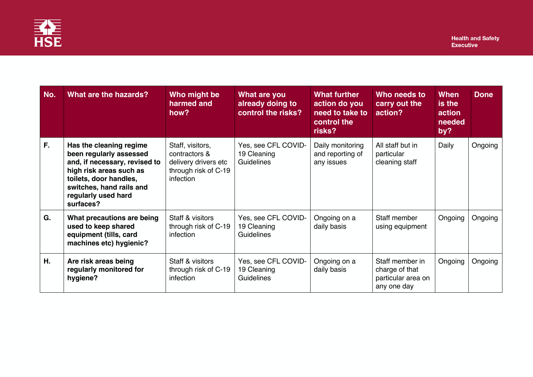

| No. | What are the hazards?                                                                                                                                                                                    | Who might be<br>harmed and<br>how?                                                             | What are you<br>already doing to<br>control the risks?  | <b>What further</b><br>action do you<br>need to take to<br>control the<br>risks? | Who needs to<br>carry out the<br>action?                               | When<br>is the<br>action<br>needed<br>by? | <b>Done</b> |
|-----|----------------------------------------------------------------------------------------------------------------------------------------------------------------------------------------------------------|------------------------------------------------------------------------------------------------|---------------------------------------------------------|----------------------------------------------------------------------------------|------------------------------------------------------------------------|-------------------------------------------|-------------|
| F.  | Has the cleaning regime<br>been regularly assessed<br>and, if necessary, revised to<br>high risk areas such as<br>toilets, door handles,<br>switches, hand rails and<br>regularly used hard<br>surfaces? | Staff, visitors,<br>contractors &<br>delivery drivers etc<br>through risk of C-19<br>infection | Yes, see CFL COVID-<br>19 Cleaning<br><b>Guidelines</b> | Daily monitoring<br>and reporting of<br>any issues                               | All staff but in<br>particular<br>cleaning staff                       | Daily                                     | Ongoing     |
| G.  | What precautions are being<br>used to keep shared<br>equipment (tills, card<br>machines etc) hygienic?                                                                                                   | Staff & visitors<br>through risk of C-19<br>infection                                          | Yes, see CFL COVID-<br>19 Cleaning<br><b>Guidelines</b> | Ongoing on a<br>daily basis                                                      | Staff member<br>using equipment                                        | Ongoing                                   | Ongoing     |
| Η.  | Are risk areas being<br>regularly monitored for<br>hygiene?                                                                                                                                              | Staff & visitors<br>through risk of C-19<br>infection                                          | Yes, see CFL COVID-<br>19 Cleaning<br><b>Guidelines</b> | Ongoing on a<br>daily basis                                                      | Staff member in<br>charge of that<br>particular area on<br>any one day | Ongoing                                   | Ongoing     |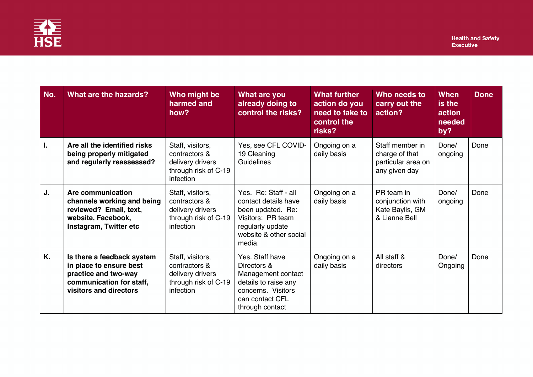

| No. | <b>What are the hazards?</b>                                                                                                        | Who might be<br>harmed and<br>how?                                                         | What are you<br>already doing to<br>control the risks?                                                                                         | <b>What further</b><br>action do you<br>need to take to<br>control the<br>risks? | Who needs to<br>carry out the<br>action?                                 | When<br>is the<br>action<br>needed<br>by? | <b>Done</b> |
|-----|-------------------------------------------------------------------------------------------------------------------------------------|--------------------------------------------------------------------------------------------|------------------------------------------------------------------------------------------------------------------------------------------------|----------------------------------------------------------------------------------|--------------------------------------------------------------------------|-------------------------------------------|-------------|
|     | Are all the identified risks<br>being properly mitigated<br>and regularly reassessed?                                               | Staff, visitors,<br>contractors &<br>delivery drivers<br>through risk of C-19<br>infection | Yes, see CFL COVID-<br>19 Cleaning<br>Guidelines                                                                                               | Ongoing on a<br>daily basis                                                      | Staff member in<br>charge of that<br>particular area on<br>any given day | Done/<br>ongoing                          | Done        |
| J.  | Are communication<br>channels working and being<br>reviewed? Email, text,<br>website, Facebook,<br>Instagram, Twitter etc           | Staff, visitors,<br>contractors &<br>delivery drivers<br>through risk of C-19<br>infection | Yes. Re: Staff - all<br>contact details have<br>been updated. Re:<br>Visitors: PR team<br>regularly update<br>website & other social<br>media. | Ongoing on a<br>daily basis                                                      | PR team in<br>conjunction with<br>Kate Baylis, GM<br>& Lianne Bell       | Done/<br>ongoing                          | Done        |
| Κ.  | Is there a feedback system<br>in place to ensure best<br>practice and two-way<br>communication for staff,<br>visitors and directors | Staff, visitors,<br>contractors &<br>delivery drivers<br>through risk of C-19<br>infection | Yes. Staff have<br>Directors &<br>Management contact<br>details to raise any<br>concerns. Visitors<br>can contact CFL<br>through contact       | Ongoing on a<br>daily basis                                                      | All staff &<br>directors                                                 | Done/<br>Ongoing                          | Done        |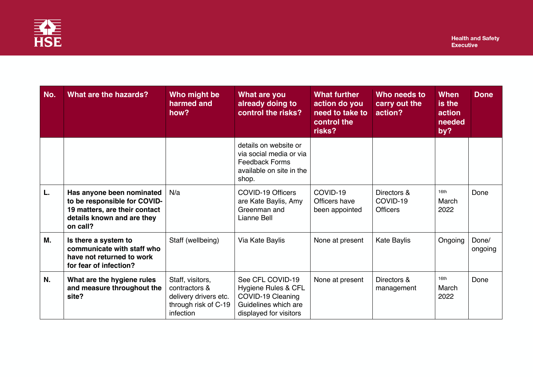

| No. | What are the hazards?                                                                                                                | Who might be<br>harmed and<br>how?                                                              | <b>What are you</b><br>already doing to<br>control the risks?                                                  | <b>What further</b><br>action do you<br>need to take to<br>control the<br>risks? | Who needs to<br>carry out the<br>action?   | <b>When</b><br>is the<br>action<br>needed<br>by? | <b>Done</b>      |
|-----|--------------------------------------------------------------------------------------------------------------------------------------|-------------------------------------------------------------------------------------------------|----------------------------------------------------------------------------------------------------------------|----------------------------------------------------------------------------------|--------------------------------------------|--------------------------------------------------|------------------|
|     |                                                                                                                                      |                                                                                                 | details on website or<br>via social media or via<br><b>Feedback Forms</b><br>available on site in the<br>shop. |                                                                                  |                                            |                                                  |                  |
| L.  | Has anyone been nominated<br>to be responsible for COVID-<br>19 matters, are their contact<br>details known and are they<br>on call? | N/a                                                                                             | <b>COVID-19 Officers</b><br>are Kate Baylis, Amy<br>Greenman and<br>Lianne Bell                                | COVID-19<br>Officers have<br>been appointed                                      | Directors &<br>COVID-19<br><b>Officers</b> | 16th<br>March<br>2022                            | Done             |
| М.  | Is there a system to<br>communicate with staff who<br>have not returned to work<br>for fear of infection?                            | Staff (wellbeing)                                                                               | Via Kate Baylis                                                                                                | None at present                                                                  | Kate Baylis                                | Ongoing                                          | Done/<br>ongoing |
| N.  | What are the hygiene rules<br>and measure throughout the<br>site?                                                                    | Staff, visitors,<br>contractors &<br>delivery drivers etc.<br>through risk of C-19<br>infection | See CFL COVID-19<br>Hygiene Rules & CFL<br>COVID-19 Cleaning<br>Guidelines which are<br>displayed for visitors | None at present                                                                  | Directors &<br>management                  | 16th<br>March<br>2022                            | Done             |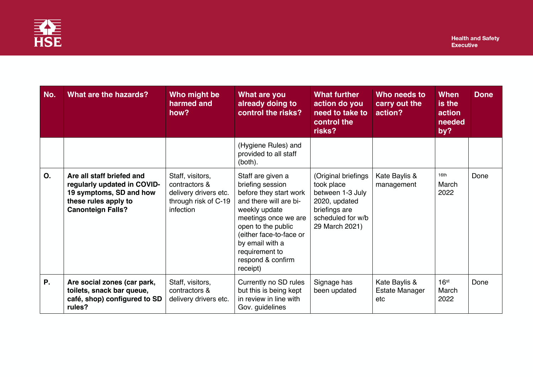

| No. | What are the hazards?                                                                                                                   | Who might be<br>harmed and<br>how?                                                              | What are you<br>already doing to<br>control the risks?                                                                                                                                                                                                    | <b>What further</b><br>action do you<br>need to take to<br>control the<br>risks?                                               | Who needs to<br>carry out the<br>action? | When<br>is the<br>action<br>needed<br>by? | <b>Done</b> |
|-----|-----------------------------------------------------------------------------------------------------------------------------------------|-------------------------------------------------------------------------------------------------|-----------------------------------------------------------------------------------------------------------------------------------------------------------------------------------------------------------------------------------------------------------|--------------------------------------------------------------------------------------------------------------------------------|------------------------------------------|-------------------------------------------|-------------|
|     |                                                                                                                                         |                                                                                                 | (Hygiene Rules) and<br>provided to all staff<br>(both).                                                                                                                                                                                                   |                                                                                                                                |                                          |                                           |             |
| О.  | Are all staff briefed and<br>regularly updated in COVID-<br>19 symptoms, SD and how<br>these rules apply to<br><b>Canonteign Falls?</b> | Staff, visitors,<br>contractors &<br>delivery drivers etc.<br>through risk of C-19<br>infection | Staff are given a<br>briefing session<br>before they start work<br>and there will are bi-<br>weekly update<br>meetings once we are<br>open to the public<br>(either face-to-face or<br>by email with a<br>requirement to<br>respond & confirm<br>receipt) | (Original briefings<br>took place<br>between 1-3 July<br>2020, updated<br>briefings are<br>scheduled for w/b<br>29 March 2021) | Kate Baylis &<br>management              | 16th<br>March<br>2022                     | Done        |
| Ρ.  | Are social zones (car park,<br>toilets, snack bar queue,<br>café, shop) configured to SD<br>rules?                                      | Staff, visitors,<br>contractors &<br>delivery drivers etc.                                      | Currently no SD rules<br>but this is being kept<br>in review in line with<br>Gov. guidelines                                                                                                                                                              | Signage has<br>been updated                                                                                                    | Kate Baylis &<br>Estate Manager<br>etc   | 16 <sup>st</sup><br>March<br>2022         | Done        |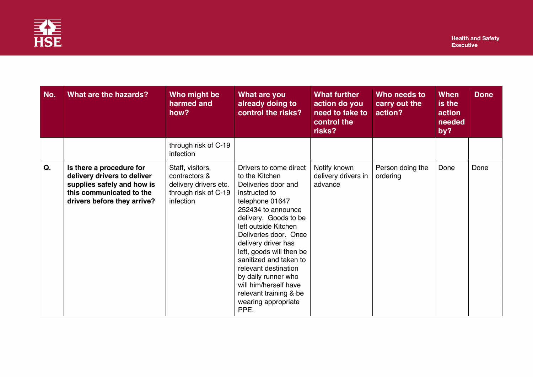

| No. | What are the hazards?                                                                                                                            | Who might be<br>harmed and<br>how?                                                              | What are you<br>already doing to<br>control the risks?                                                                                                                                                                                                                                                                                                                                                            | <b>What further</b><br>action do you<br>need to take to<br>control the<br>risks? | Who needs to<br>carry out the<br>action? | <b>When</b><br>is the<br>action<br>needed<br>by? | <b>Done</b> |
|-----|--------------------------------------------------------------------------------------------------------------------------------------------------|-------------------------------------------------------------------------------------------------|-------------------------------------------------------------------------------------------------------------------------------------------------------------------------------------------------------------------------------------------------------------------------------------------------------------------------------------------------------------------------------------------------------------------|----------------------------------------------------------------------------------|------------------------------------------|--------------------------------------------------|-------------|
|     |                                                                                                                                                  | through risk of C-19<br>infection                                                               |                                                                                                                                                                                                                                                                                                                                                                                                                   |                                                                                  |                                          |                                                  |             |
| Q.  | Is there a procedure for<br>delivery drivers to deliver<br>supplies safely and how is<br>this communicated to the<br>drivers before they arrive? | Staff, visitors,<br>contractors &<br>delivery drivers etc.<br>through risk of C-19<br>infection | Drivers to come direct<br>to the Kitchen<br>Deliveries door and<br>instructed to<br>telephone 01647<br>252434 to announce<br>delivery. Goods to be<br>left outside Kitchen<br>Deliveries door. Once<br>delivery driver has<br>left, goods will then be<br>sanitized and taken to<br>relevant destination<br>by daily runner who<br>will him/herself have<br>relevant training & be<br>wearing appropriate<br>PPE. | Notify known<br>delivery drivers in<br>advance                                   | Person doing the<br>ordering             | Done                                             | Done        |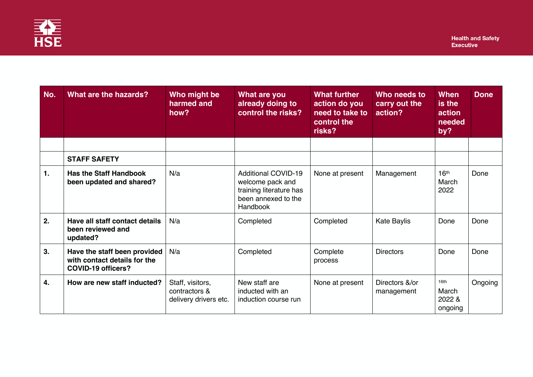

| No. | What are the hazards?                                                              | Who might be<br>harmed and<br>how?                         | What are you<br>already doing to<br>control the risks?                                                       | <b>What further</b><br>action do you<br>need to take to<br>control the<br>risks? | Who needs to<br>carry out the<br>action? | When<br>is the<br>action<br>needed<br>by? | <b>Done</b> |
|-----|------------------------------------------------------------------------------------|------------------------------------------------------------|--------------------------------------------------------------------------------------------------------------|----------------------------------------------------------------------------------|------------------------------------------|-------------------------------------------|-------------|
|     |                                                                                    |                                                            |                                                                                                              |                                                                                  |                                          |                                           |             |
|     | <b>STAFF SAFETY</b>                                                                |                                                            |                                                                                                              |                                                                                  |                                          |                                           |             |
| 1.  | <b>Has the Staff Handbook</b><br>been updated and shared?                          | N/a                                                        | <b>Additional COVID-19</b><br>welcome pack and<br>training literature has<br>been annexed to the<br>Handbook | None at present                                                                  | Management                               | 16 <sup>th</sup><br>March<br>2022         | Done        |
| 2.  | Have all staff contact details<br>been reviewed and<br>updated?                    | N/a                                                        | Completed                                                                                                    | Completed                                                                        | <b>Kate Baylis</b>                       | Done                                      | Done        |
| 3.  | Have the staff been provided<br>with contact details for the<br>COVID-19 officers? | N/a                                                        | Completed                                                                                                    | Complete<br>process                                                              | <b>Directors</b>                         | Done                                      | Done        |
| 4.  | How are new staff inducted?                                                        | Staff, visitors,<br>contractors &<br>delivery drivers etc. | New staff are<br>inducted with an<br>induction course run                                                    | None at present                                                                  | Directors &/or<br>management             | 16th<br>March<br>2022 &<br>ongoing        | Ongoing     |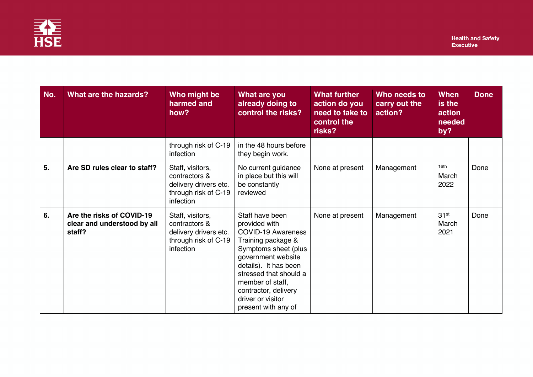

| No. | <b>What are the hazards?</b>                                       | Who might be<br>harmed and<br>how?                                                              | What are you<br>already doing to<br>control the risks?                                                                                                                                                                                                                       | <b>What further</b><br>action do you<br>need to take to<br>control the<br>risks? | Who needs to<br>carry out the<br>action? | When<br>is the<br>action<br>needed<br>by? | <b>Done</b> |
|-----|--------------------------------------------------------------------|-------------------------------------------------------------------------------------------------|------------------------------------------------------------------------------------------------------------------------------------------------------------------------------------------------------------------------------------------------------------------------------|----------------------------------------------------------------------------------|------------------------------------------|-------------------------------------------|-------------|
|     |                                                                    | through risk of C-19<br>infection                                                               | in the 48 hours before<br>they begin work.                                                                                                                                                                                                                                   |                                                                                  |                                          |                                           |             |
| 5.  | Are SD rules clear to staff?                                       | Staff, visitors,<br>contractors &<br>delivery drivers etc.<br>through risk of C-19<br>infection | No current guidance<br>in place but this will<br>be constantly<br>reviewed                                                                                                                                                                                                   | None at present                                                                  | Management                               | 16th<br>March<br>2022                     | Done        |
| 6.  | Are the risks of COVID-19<br>clear and understood by all<br>staff? | Staff, visitors,<br>contractors &<br>delivery drivers etc.<br>through risk of C-19<br>infection | Staff have been<br>provided with<br><b>COVID-19 Awareness</b><br>Training package &<br>Symptoms sheet (plus<br>government website<br>details). It has been<br>stressed that should a<br>member of staff,<br>contractor, delivery<br>driver or visitor<br>present with any of | None at present                                                                  | Management                               | 31 <sup>st</sup><br>March<br>2021         | Done        |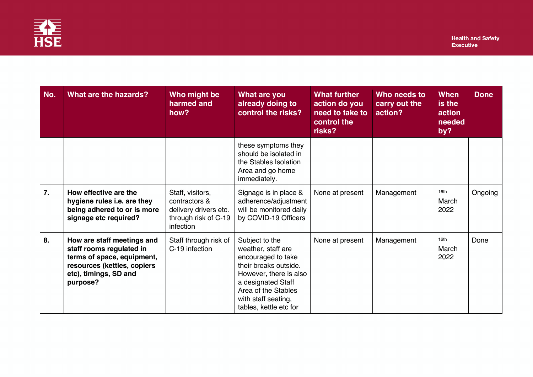

| No.              | What are the hazards?                                                                                                                                    | Who might be<br>harmed and<br>how?                                                              | What are you<br>already doing to<br>control the risks?                                                                                                                                                      | <b>What further</b><br>action do you<br>need to take to<br>control the<br>risks? | Who needs to<br>carry out the<br>action? | <b>When</b><br>is the<br>action<br>needed<br>by? | <b>Done</b> |
|------------------|----------------------------------------------------------------------------------------------------------------------------------------------------------|-------------------------------------------------------------------------------------------------|-------------------------------------------------------------------------------------------------------------------------------------------------------------------------------------------------------------|----------------------------------------------------------------------------------|------------------------------------------|--------------------------------------------------|-------------|
|                  |                                                                                                                                                          |                                                                                                 | these symptoms they<br>should be isolated in<br>the Stables Isolation<br>Area and go home<br>immediately.                                                                                                   |                                                                                  |                                          |                                                  |             |
| $\overline{7}$ . | How effective are the<br>hygiene rules i.e. are they<br>being adhered to or is more<br>signage etc required?                                             | Staff, visitors,<br>contractors &<br>delivery drivers etc.<br>through risk of C-19<br>infection | Signage is in place &<br>adherence/adjustment<br>will be monitored daily<br>by COVID-19 Officers                                                                                                            | None at present                                                                  | Management                               | 16th<br>March<br>2022                            | Ongoing     |
| 8.               | How are staff meetings and<br>staff rooms regulated in<br>terms of space, equipment,<br>resources (kettles, copiers<br>etc), timings, SD and<br>purpose? | Staff through risk of<br>C-19 infection                                                         | Subject to the<br>weather, staff are<br>encouraged to take<br>their breaks outside.<br>However, there is also<br>a designated Staff<br>Area of the Stables<br>with staff seating,<br>tables, kettle etc for | None at present                                                                  | Management                               | 16th<br>March<br>2022                            | Done        |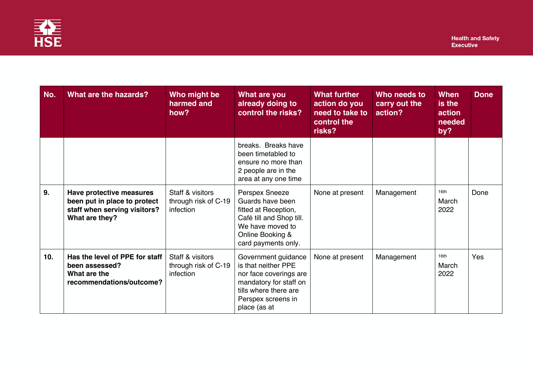

| No. | What are the hazards?                                                                                      | Who might be<br>harmed and<br>how?                    | What are you<br>already doing to<br>control the risks?                                                                                                        | <b>What further</b><br>action do you<br>need to take to<br>control the<br>risks? | Who needs to<br>carry out the<br>action? | When<br>is the<br>action<br>needed<br>by? | <b>Done</b> |
|-----|------------------------------------------------------------------------------------------------------------|-------------------------------------------------------|---------------------------------------------------------------------------------------------------------------------------------------------------------------|----------------------------------------------------------------------------------|------------------------------------------|-------------------------------------------|-------------|
|     |                                                                                                            |                                                       | breaks. Breaks have<br>been timetabled to<br>ensure no more than<br>2 people are in the<br>area at any one time                                               |                                                                                  |                                          |                                           |             |
| 9.  | Have protective measures<br>been put in place to protect<br>staff when serving visitors?<br>What are they? | Staff & visitors<br>through risk of C-19<br>infection | Perspex Sneeze<br>Guards have been<br>fitted at Reception,<br>Café till and Shop till.<br>We have moved to<br>Online Booking &<br>card payments only.         | None at present                                                                  | Management                               | 16th<br>March<br>2022                     | Done        |
| 10. | Has the level of PPE for staff<br>been assessed?<br>What are the<br>recommendations/outcome?               | Staff & visitors<br>through risk of C-19<br>infection | Government guidance<br>is that neither PPE<br>nor face coverings are<br>mandatory for staff on<br>tills where there are<br>Perspex screens in<br>place (as at | None at present                                                                  | Management                               | 16th<br>March<br>2022                     | Yes         |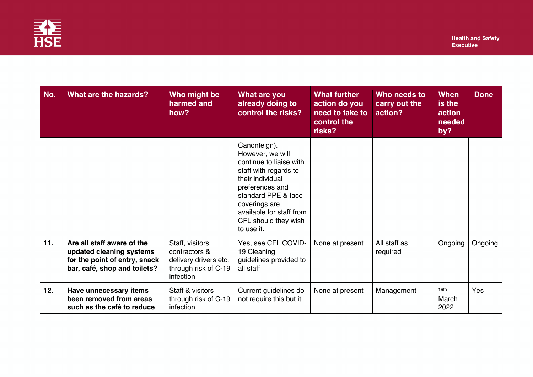

| No. | What are the hazards?                                                                                                   | Who might be<br>harmed and<br>how?                                                              | What are you<br>already doing to<br>control the risks?                                                                                                                                                                                | <b>What further</b><br>action do you<br>need to take to<br>control the<br>risks? | Who needs to<br>carry out the<br>action? | When<br>is the<br>action<br>needed<br>by? | <b>Done</b> |
|-----|-------------------------------------------------------------------------------------------------------------------------|-------------------------------------------------------------------------------------------------|---------------------------------------------------------------------------------------------------------------------------------------------------------------------------------------------------------------------------------------|----------------------------------------------------------------------------------|------------------------------------------|-------------------------------------------|-------------|
|     |                                                                                                                         |                                                                                                 | Canonteign).<br>However, we will<br>continue to liaise with<br>staff with regards to<br>their individual<br>preferences and<br>standard PPE & face<br>coverings are<br>available for staff from<br>CFL should they wish<br>to use it. |                                                                                  |                                          |                                           |             |
| 11. | Are all staff aware of the<br>updated cleaning systems<br>for the point of entry, snack<br>bar, café, shop and toilets? | Staff, visitors,<br>contractors &<br>delivery drivers etc.<br>through risk of C-19<br>infection | Yes, see CFL COVID-<br>19 Cleaning<br>guidelines provided to<br>all staff                                                                                                                                                             | None at present                                                                  | All staff as<br>required                 | Ongoing                                   | Ongoing     |
| 12. | Have unnecessary items<br>been removed from areas<br>such as the café to reduce                                         | Staff & visitors<br>through risk of C-19<br>infection                                           | Current guidelines do<br>not require this but it                                                                                                                                                                                      | None at present                                                                  | Management                               | 16th<br>March<br>2022                     | <b>Yes</b>  |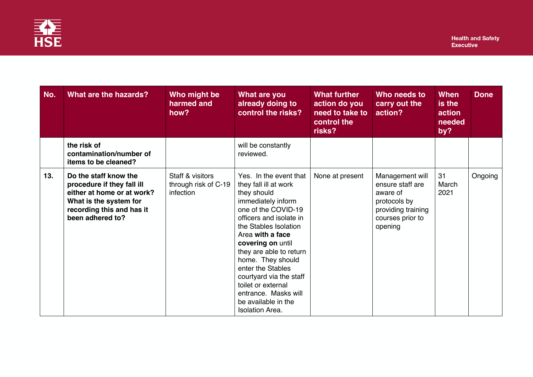

| No. | What are the hazards?                                                                                                                                        | Who might be<br>harmed and<br>how?                    | What are you<br>already doing to<br>control the risks?                                                                                                                                                                                                                                                                                                                                                  | <b>What further</b><br>action do you<br>need to take to<br>control the<br>risks? | Who needs to<br>carry out the<br>action?                                                                             | <b>When</b><br>is the<br>action<br>needed<br>by? | <b>Done</b> |
|-----|--------------------------------------------------------------------------------------------------------------------------------------------------------------|-------------------------------------------------------|---------------------------------------------------------------------------------------------------------------------------------------------------------------------------------------------------------------------------------------------------------------------------------------------------------------------------------------------------------------------------------------------------------|----------------------------------------------------------------------------------|----------------------------------------------------------------------------------------------------------------------|--------------------------------------------------|-------------|
|     | the risk of<br>contamination/number of<br>items to be cleaned?                                                                                               |                                                       | will be constantly<br>reviewed.                                                                                                                                                                                                                                                                                                                                                                         |                                                                                  |                                                                                                                      |                                                  |             |
| 13. | Do the staff know the<br>procedure if they fall ill<br>either at home or at work?<br>What is the system for<br>recording this and has it<br>been adhered to? | Staff & visitors<br>through risk of C-19<br>infection | Yes. In the event that<br>they fall ill at work<br>they should<br>immediately inform<br>one of the COVID-19<br>officers and isolate in<br>the Stables Isolation<br>Area with a face<br>covering on until<br>they are able to return<br>home. They should<br>enter the Stables<br>courtyard via the staff<br>toilet or external<br>entrance. Masks will<br>be available in the<br><b>Isolation Area.</b> | None at present                                                                  | Management will<br>ensure staff are<br>aware of<br>protocols by<br>providing training<br>courses prior to<br>opening | 31<br>March<br>2021                              | Ongoing     |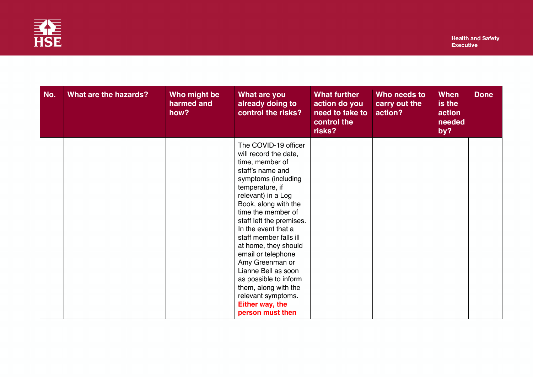

| No. | What are the hazards? | Who might be<br>harmed and<br>how? | What are you<br>already doing to<br>control the risks?                                                                                                                                                                                                                                                                                                                                                                                                                                | <b>What further</b><br>action do you<br>need to take to<br>control the<br>risks? | Who needs to<br>carry out the<br>action? | <b>When</b><br>is the<br>action<br>needed<br>by? | <b>Done</b> |
|-----|-----------------------|------------------------------------|---------------------------------------------------------------------------------------------------------------------------------------------------------------------------------------------------------------------------------------------------------------------------------------------------------------------------------------------------------------------------------------------------------------------------------------------------------------------------------------|----------------------------------------------------------------------------------|------------------------------------------|--------------------------------------------------|-------------|
|     |                       |                                    | The COVID-19 officer<br>will record the date,<br>time, member of<br>staff's name and<br>symptoms (including<br>temperature, if<br>relevant) in a Log<br>Book, along with the<br>time the member of<br>staff left the premises.<br>In the event that a<br>staff member falls ill<br>at home, they should<br>email or telephone<br>Amy Greenman or<br>Lianne Bell as soon<br>as possible to inform<br>them, along with the<br>relevant symptoms.<br>Either way, the<br>person must then |                                                                                  |                                          |                                                  |             |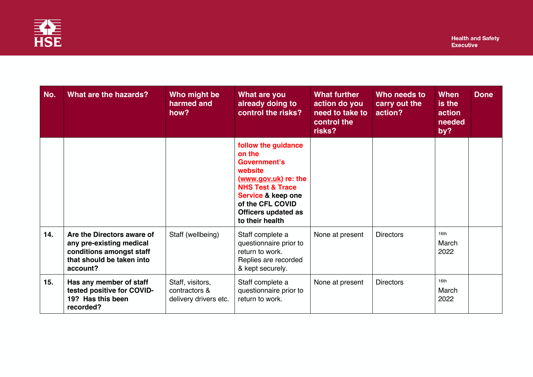

| No. | What are the hazards?                                                                                                       | Who might be<br>harmed and<br>how?                         | What are you<br>already doing to<br>control the risks?                                                                                                                                                     | What further<br>action do you<br>need to take to<br>control the<br>risks? | Who needs to<br>carry out the<br>action? | When<br>is the<br>action<br>needed<br>by? | <b>Done</b> |
|-----|-----------------------------------------------------------------------------------------------------------------------------|------------------------------------------------------------|------------------------------------------------------------------------------------------------------------------------------------------------------------------------------------------------------------|---------------------------------------------------------------------------|------------------------------------------|-------------------------------------------|-------------|
|     |                                                                                                                             |                                                            | follow the guidance<br>on the<br><b>Government's</b><br>website<br>(www.gov.uk) re: the<br><b>NHS Test &amp; Trace</b><br>Service & keep one<br>of the CFL COVID<br>Officers updated as<br>to their health |                                                                           |                                          |                                           |             |
| 14. | Are the Directors aware of<br>any pre-existing medical<br>conditions amongst staff<br>that should be taken into<br>account? | Staff (wellbeing)                                          | Staff complete a<br>questionnaire prior to<br>return to work.<br>Replies are recorded<br>& kept securely.                                                                                                  | None at present                                                           | <b>Directors</b>                         | 16th<br>March<br>2022                     |             |
| 15. | Has any member of staff<br>tested positive for COVID-<br>19? Has this been<br>recorded?                                     | Staff, visitors,<br>contractors &<br>delivery drivers etc. | Staff complete a<br>questionnaire prior to<br>return to work.                                                                                                                                              | None at present                                                           | <b>Directors</b>                         | 16th<br>March<br>2022                     |             |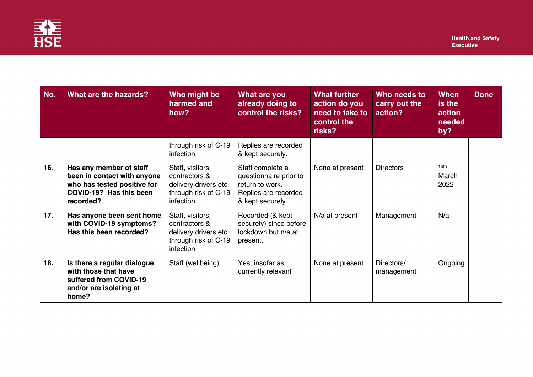

| No. | What are the hazards?                                                                                                         | Who might be<br>harmed and<br>how?                                                              | What are you<br>already doing to<br>control the risks?                                                    | <b>What further</b><br>action do you<br>need to take to<br>control the<br>risks? | Who needs to<br>carry out the<br>action? | <b>When</b><br>is the<br>action<br>needed<br>by? | <b>Done</b> |
|-----|-------------------------------------------------------------------------------------------------------------------------------|-------------------------------------------------------------------------------------------------|-----------------------------------------------------------------------------------------------------------|----------------------------------------------------------------------------------|------------------------------------------|--------------------------------------------------|-------------|
|     |                                                                                                                               | through risk of C-19<br>infection                                                               | Replies are recorded<br>& kept securely.                                                                  |                                                                                  |                                          |                                                  |             |
| 16. | Has any member of staff<br>been in contact with anyone<br>who has tested positive for<br>COVID-19? Has this been<br>recorded? | Staff, visitors,<br>contractors &<br>delivery drivers etc.<br>through risk of C-19<br>infection | Staff complete a<br>questionnaire prior to<br>return to work.<br>Replies are recorded<br>& kept securely. | None at present                                                                  | <b>Directors</b>                         | 16th<br>March<br>2022                            |             |
| 17. | Has anyone been sent home<br>with COVID-19 symptoms?<br>Has this been recorded?                                               | Staff, visitors,<br>contractors &<br>delivery drivers etc.<br>through risk of C-19<br>infection | Recorded (& kept<br>securely) since before<br>lockdown but n/a at<br>present.                             | N/a at present                                                                   | Management                               | N/a                                              |             |
| 18. | Is there a regular dialogue<br>with those that have<br>suffered from COVID-19<br>and/or are isolating at<br>home?             | Staff (wellbeing)                                                                               | Yes, insofar as<br>currently relevant                                                                     | None at present                                                                  | Directors/<br>management                 | Ongoing                                          |             |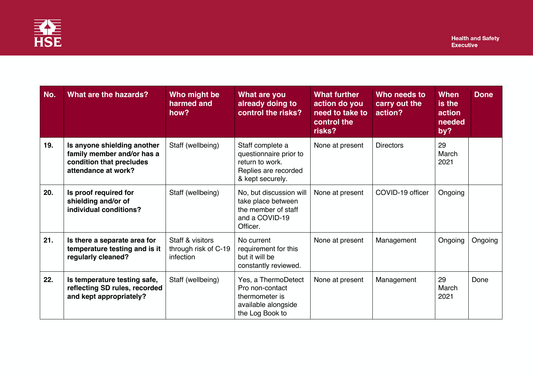

| No. | What are the hazards?                                                                                        | Who might be<br>harmed and<br>how?                    | What are you<br>already doing to<br>control the risks?                                                    | <b>What further</b><br>action do you<br>need to take to<br>control the<br>risks? | Who needs to<br>carry out the<br>action? | <b>When</b><br>is the<br>action<br>needed<br>by? | <b>Done</b> |
|-----|--------------------------------------------------------------------------------------------------------------|-------------------------------------------------------|-----------------------------------------------------------------------------------------------------------|----------------------------------------------------------------------------------|------------------------------------------|--------------------------------------------------|-------------|
| 19. | Is anyone shielding another<br>family member and/or has a<br>condition that precludes<br>attendance at work? | Staff (wellbeing)                                     | Staff complete a<br>questionnaire prior to<br>return to work.<br>Replies are recorded<br>& kept securely. | None at present                                                                  | <b>Directors</b>                         | 29<br>March<br>2021                              |             |
| 20. | Is proof required for<br>shielding and/or of<br>individual conditions?                                       | Staff (wellbeing)                                     | No, but discussion will<br>take place between<br>the member of staff<br>and a COVID-19<br>Officer.        | None at present                                                                  | COVID-19 officer                         | Ongoing                                          |             |
| 21. | Is there a separate area for<br>temperature testing and is it<br>regularly cleaned?                          | Staff & visitors<br>through risk of C-19<br>infection | No current<br>requirement for this<br>but it will be<br>constantly reviewed.                              | None at present                                                                  | Management                               | Ongoing                                          | Ongoing     |
| 22. | Is temperature testing safe,<br>reflecting SD rules, recorded<br>and kept appropriately?                     | Staff (wellbeing)                                     | Yes, a ThermoDetect<br>Pro non-contact<br>thermometer is<br>available alongside<br>the Log Book to        | None at present                                                                  | Management                               | 29<br>March<br>2021                              | Done        |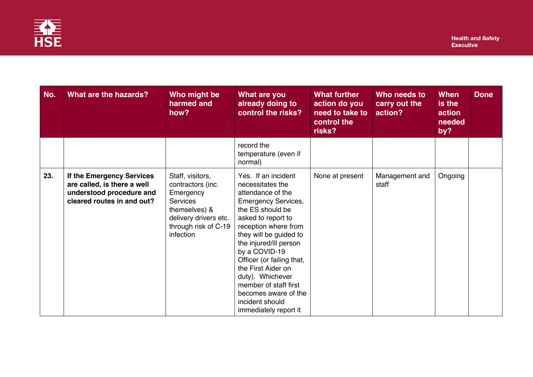

| No. | What are the hazards?                                                                                              | Who might be<br>harmed and<br>how?                                                                                                                   | What are you<br>already doing to<br>control the risks?                                                                                                                                                                                                                                                                                                                                                | <b>What further</b><br>action do you<br>need to take to<br>control the<br>risks? | Who needs to<br>carry out the<br>action? | <b>When</b><br>is the<br>action<br>needed<br>by? | <b>Done</b> |
|-----|--------------------------------------------------------------------------------------------------------------------|------------------------------------------------------------------------------------------------------------------------------------------------------|-------------------------------------------------------------------------------------------------------------------------------------------------------------------------------------------------------------------------------------------------------------------------------------------------------------------------------------------------------------------------------------------------------|----------------------------------------------------------------------------------|------------------------------------------|--------------------------------------------------|-------------|
|     |                                                                                                                    |                                                                                                                                                      | record the<br>temperature (even if<br>normal)                                                                                                                                                                                                                                                                                                                                                         |                                                                                  |                                          |                                                  |             |
| 23. | If the Emergency Services<br>are called, is there a well<br>understood procedure and<br>cleared routes in and out? | Staff, visitors,<br>contractors (inc.<br>Emergency<br><b>Services</b><br>themselves) &<br>delivery drivers etc.<br>through risk of C-19<br>infection | Yes. If an incident<br>necessitates the<br>attendance of the<br><b>Emergency Services,</b><br>the ES should be<br>asked to report to<br>reception where from<br>they will be guided to<br>the injured/ill person<br>by a COVID-19<br>Officer (or failing that,<br>the First Aider on<br>duty). Whichever<br>member of staff first<br>becomes aware of the<br>incident should<br>immediately report it | None at present                                                                  | Management and<br>staff                  | Ongoing                                          |             |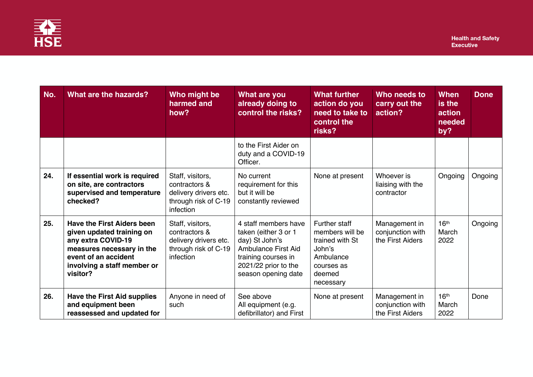

| No. | What are the hazards?                                                                                                                                                                | Who might be<br>harmed and<br>how?                                                                     | <b>What are you</b><br>already doing to<br>control the risks?                                                                                                      | <b>What further</b><br>action do you<br>need to take to<br>control the<br>risks?                                | Who needs to<br>carry out the<br>action?              | When<br>is the<br>action<br>needed<br>by? | <b>Done</b> |
|-----|--------------------------------------------------------------------------------------------------------------------------------------------------------------------------------------|--------------------------------------------------------------------------------------------------------|--------------------------------------------------------------------------------------------------------------------------------------------------------------------|-----------------------------------------------------------------------------------------------------------------|-------------------------------------------------------|-------------------------------------------|-------------|
|     |                                                                                                                                                                                      |                                                                                                        | to the First Aider on<br>duty and a COVID-19<br>Officer.                                                                                                           |                                                                                                                 |                                                       |                                           |             |
| 24. | If essential work is required<br>on site, are contractors<br>supervised and temperature<br>checked?                                                                                  | Staff, visitors,<br>contractors &<br>delivery drivers etc.<br>through risk of C-19<br><i>infection</i> | No current<br>requirement for this<br>but it will be<br>constantly reviewed                                                                                        | None at present                                                                                                 | Whoever is<br>liaising with the<br>contractor         | Ongoing                                   | Ongoing     |
| 25. | <b>Have the First Aiders been</b><br>given updated training on<br>any extra COVID-19<br>measures necessary in the<br>event of an accident<br>involving a staff member or<br>visitor? | Staff, visitors,<br>contractors &<br>delivery drivers etc.<br>through risk of C-19<br>infection        | 4 staff members have<br>taken (either 3 or 1<br>day) St John's<br><b>Ambulance First Aid</b><br>training courses in<br>2021/22 prior to the<br>season opening date | Further staff<br>members will be<br>trained with St<br>John's<br>Ambulance<br>courses as<br>deemed<br>necessary | Management in<br>conjunction with<br>the First Aiders | 16 <sup>th</sup><br>March<br>2022         | Ongoing     |
| 26. | <b>Have the First Aid supplies</b><br>and equipment been<br>reassessed and updated for                                                                                               | Anyone in need of<br>such                                                                              | See above<br>All equipment (e.g.<br>defibrillator) and First                                                                                                       | None at present                                                                                                 | Management in<br>conjunction with<br>the First Aiders | 16 <sup>th</sup><br>March<br>2022         | Done        |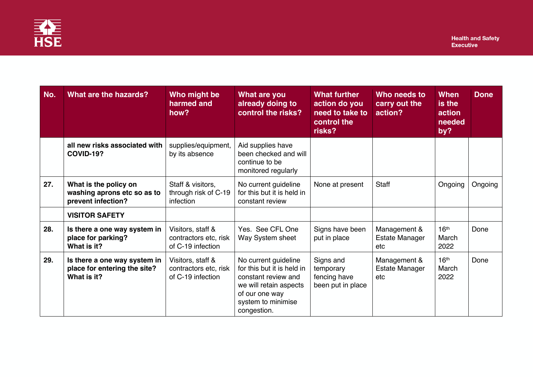

| No. | <b>What are the hazards?</b>                                                | Who might be<br>harmed and<br>how?                              | What are you<br>already doing to<br>control the risks?                                                                                                     | <b>What further</b><br>action do you<br>need to take to<br>control the<br>risks? | Who needs to<br>carry out the<br>action?     | <b>When</b><br>is the<br>action<br>needed<br>by? | <b>Done</b> |
|-----|-----------------------------------------------------------------------------|-----------------------------------------------------------------|------------------------------------------------------------------------------------------------------------------------------------------------------------|----------------------------------------------------------------------------------|----------------------------------------------|--------------------------------------------------|-------------|
|     | all new risks associated with<br><b>COVID-19?</b>                           | supplies/equipment,<br>by its absence                           | Aid supplies have<br>been checked and will<br>continue to be<br>monitored regularly                                                                        |                                                                                  |                                              |                                                  |             |
| 27. | What is the policy on<br>washing aprons etc so as to<br>prevent infection?  | Staff & visitors,<br>through risk of C-19<br>infection          | No current guideline<br>for this but it is held in<br>constant review                                                                                      | None at present                                                                  | <b>Staff</b>                                 | Ongoing                                          | Ongoing     |
|     | <b>VISITOR SAFETY</b>                                                       |                                                                 |                                                                                                                                                            |                                                                                  |                                              |                                                  |             |
| 28. | Is there a one way system in<br>place for parking?<br>What is it?           | Visitors, staff &<br>contractors etc, risk<br>of C-19 infection | Yes. See CFL One<br>Way System sheet                                                                                                                       | Signs have been<br>put in place                                                  | Management &<br><b>Estate Manager</b><br>etc | 16 <sup>th</sup><br>March<br>2022                | Done        |
| 29. | Is there a one way system in<br>place for entering the site?<br>What is it? | Visitors, staff &<br>contractors etc, risk<br>of C-19 infection | No current guideline<br>for this but it is held in<br>constant review and<br>we will retain aspects<br>of our one way<br>system to minimise<br>congestion. | Signs and<br>temporary<br>fencing have<br>been put in place                      | Management &<br>Estate Manager<br>etc        | 16 <sup>th</sup><br>March<br>2022                | Done        |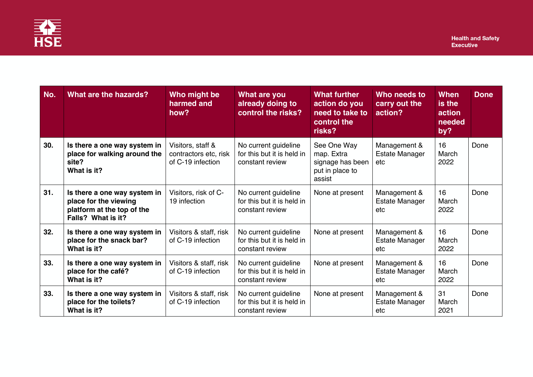

| No. | What are the hazards?                                                                                     | Who might be<br>harmed and<br>how?                              | What are you<br>already doing to<br>control the risks?                | <b>What further</b><br>action do you<br>need to take to<br>control the<br>risks? | Who needs to<br>carry out the<br>action?     | When<br>is the<br>action<br>needed<br>by? | <b>Done</b> |
|-----|-----------------------------------------------------------------------------------------------------------|-----------------------------------------------------------------|-----------------------------------------------------------------------|----------------------------------------------------------------------------------|----------------------------------------------|-------------------------------------------|-------------|
| 30. | Is there a one way system in<br>place for walking around the<br>site?<br>What is it?                      | Visitors, staff &<br>contractors etc, risk<br>of C-19 infection | No current guideline<br>for this but it is held in<br>constant review | See One Way<br>map. Extra<br>signage has been<br>put in place to<br>assist       | Management &<br><b>Estate Manager</b><br>etc | 16<br>March<br>2022                       | Done        |
| 31. | Is there a one way system in<br>place for the viewing<br>platform at the top of the<br>Falls? What is it? | Visitors, risk of C-<br>19 infection                            | No current guideline<br>for this but it is held in<br>constant review | None at present                                                                  | Management &<br><b>Estate Manager</b><br>etc | 16<br>March<br>2022                       | Done        |
| 32. | Is there a one way system in<br>place for the snack bar?<br>What is it?                                   | Visitors & staff, risk<br>of C-19 infection                     | No current guideline<br>for this but it is held in<br>constant review | None at present                                                                  | Management &<br><b>Estate Manager</b><br>etc | 16<br>March<br>2022                       | Done        |
| 33. | Is there a one way system in<br>place for the café?<br>What is it?                                        | Visitors & staff, risk<br>of C-19 infection                     | No current guideline<br>for this but it is held in<br>constant review | None at present                                                                  | Management &<br><b>Estate Manager</b><br>etc | 16<br>March<br>2022                       | Done        |
| 33. | Is there a one way system in<br>place for the toilets?<br>What is it?                                     | Visitors & staff, risk<br>of C-19 infection                     | No current guideline<br>for this but it is held in<br>constant review | None at present                                                                  | Management &<br><b>Estate Manager</b><br>etc | 31<br>March<br>2021                       | Done        |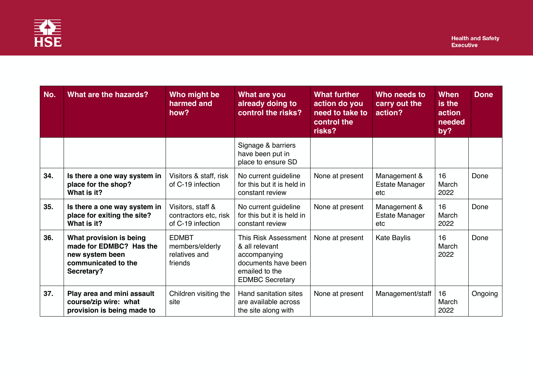

| No. | <b>What are the hazards?</b>                                                                               | Who might be<br>harmed and<br>how?                              | What are you<br>already doing to<br>control the risks?                                                                           | <b>What further</b><br>action do you<br>need to take to<br>control the<br>risks? | Who needs to<br>carry out the<br>action?     | <b>When</b><br>is the<br>action<br>needed<br>by? | <b>Done</b> |
|-----|------------------------------------------------------------------------------------------------------------|-----------------------------------------------------------------|----------------------------------------------------------------------------------------------------------------------------------|----------------------------------------------------------------------------------|----------------------------------------------|--------------------------------------------------|-------------|
|     |                                                                                                            |                                                                 | Signage & barriers<br>have been put in<br>place to ensure SD                                                                     |                                                                                  |                                              |                                                  |             |
| 34. | Is there a one way system in<br>place for the shop?<br>What is it?                                         | Visitors & staff, risk<br>of C-19 infection                     | No current guideline<br>for this but it is held in<br>constant review                                                            | None at present                                                                  | Management &<br><b>Estate Manager</b><br>etc | 16<br>March<br>2022                              | Done        |
| 35. | Is there a one way system in<br>place for exiting the site?<br>What is it?                                 | Visitors, staff &<br>contractors etc, risk<br>of C-19 infection | No current guideline<br>for this but it is held in<br>constant review                                                            | None at present                                                                  | Management &<br><b>Estate Manager</b><br>etc | 16<br>March<br>2022                              | Done        |
| 36. | What provision is being<br>made for EDMBC? Has the<br>new system been<br>communicated to the<br>Secretary? | <b>EDMBT</b><br>members/elderly<br>relatives and<br>friends     | <b>This Risk Assessment</b><br>& all relevant<br>accompanying<br>documents have been<br>emailed to the<br><b>EDMBC Secretary</b> | None at present                                                                  | Kate Baylis                                  | 16<br>March<br>2022                              | Done        |
| 37. | Play area and mini assault<br>course/zip wire: what<br>provision is being made to                          | Children visiting the<br>site                                   | Hand sanitation sites<br>are available across<br>the site along with                                                             | None at present                                                                  | Management/staff                             | 16<br>March<br>2022                              | Ongoing     |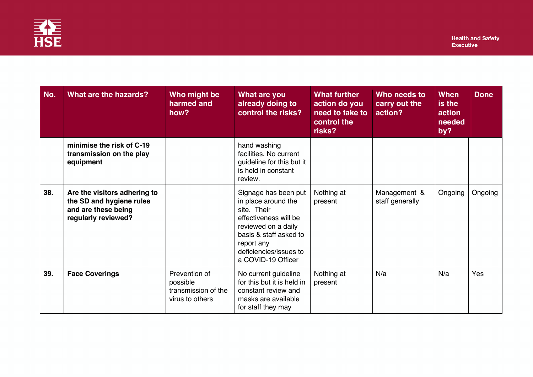

| No. | What are the hazards?                                                                                  | Who might be<br>harmed and<br>how?                                  | What are you<br>already doing to<br>control the risks?                                                                                                                                             | <b>What further</b><br>action do you<br>need to take to<br>control the<br>risks? | Who needs to<br>carry out the<br>action? | When<br>is the<br>action<br>needed<br>by? | <b>Done</b> |
|-----|--------------------------------------------------------------------------------------------------------|---------------------------------------------------------------------|----------------------------------------------------------------------------------------------------------------------------------------------------------------------------------------------------|----------------------------------------------------------------------------------|------------------------------------------|-------------------------------------------|-------------|
|     | minimise the risk of C-19<br>transmission on the play<br>equipment                                     |                                                                     | hand washing<br>facilities. No current<br>guideline for this but it<br>is held in constant<br>review.                                                                                              |                                                                                  |                                          |                                           |             |
| 38. | Are the visitors adhering to<br>the SD and hygiene rules<br>and are these being<br>regularly reviewed? |                                                                     | Signage has been put<br>in place around the<br>site. Their<br>effectiveness will be<br>reviewed on a daily<br>basis & staff asked to<br>report any<br>deficiencies/issues to<br>a COVID-19 Officer | Nothing at<br>present                                                            | Management &<br>staff generally          | Ongoing                                   | Ongoing     |
| 39. | <b>Face Coverings</b>                                                                                  | Prevention of<br>possible<br>transmission of the<br>virus to others | No current guideline<br>for this but it is held in<br>constant review and<br>masks are available<br>for staff they may                                                                             | Nothing at<br>present                                                            | N/a                                      | N/a                                       | Yes         |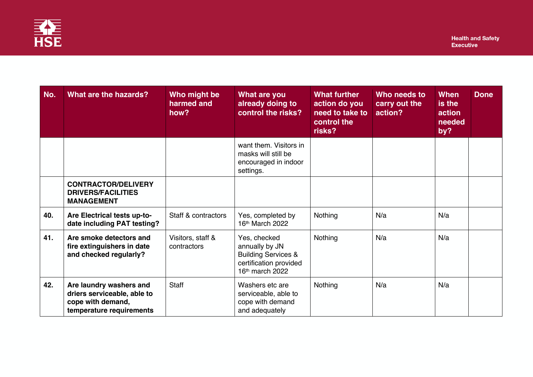

| No. | What are the hazards?                                                                                   | Who might be<br>harmed and<br>how? | What are you<br>already doing to<br>control the risks?                                                        | <b>What further</b><br>action do you<br>need to take to<br>control the<br>risks? | Who needs to<br>carry out the<br>action? | When<br>is the<br>action<br>needed<br>by? | <b>Done</b> |
|-----|---------------------------------------------------------------------------------------------------------|------------------------------------|---------------------------------------------------------------------------------------------------------------|----------------------------------------------------------------------------------|------------------------------------------|-------------------------------------------|-------------|
|     |                                                                                                         |                                    | want them. Visitors in<br>masks will still be<br>encouraged in indoor<br>settings.                            |                                                                                  |                                          |                                           |             |
|     | <b>CONTRACTOR/DELIVERY</b><br><b>DRIVERS/FACILITIES</b><br><b>MANAGEMENT</b>                            |                                    |                                                                                                               |                                                                                  |                                          |                                           |             |
| 40. | Are Electrical tests up-to-<br>date including PAT testing?                                              | Staff & contractors                | Yes, completed by<br>16th March 2022                                                                          | Nothing                                                                          | N/a                                      | N/a                                       |             |
| 41. | Are smoke detectors and<br>fire extinguishers in date<br>and checked regularly?                         | Visitors, staff &<br>contractors   | Yes, checked<br>annually by JN<br><b>Building Services &amp;</b><br>certification provided<br>16th march 2022 | Nothing                                                                          | N/a                                      | N/a                                       |             |
| 42. | Are laundry washers and<br>driers serviceable, able to<br>cope with demand,<br>temperature requirements | <b>Staff</b>                       | Washers etc are<br>serviceable, able to<br>cope with demand<br>and adequately                                 | Nothing                                                                          | N/a                                      | N/a                                       |             |